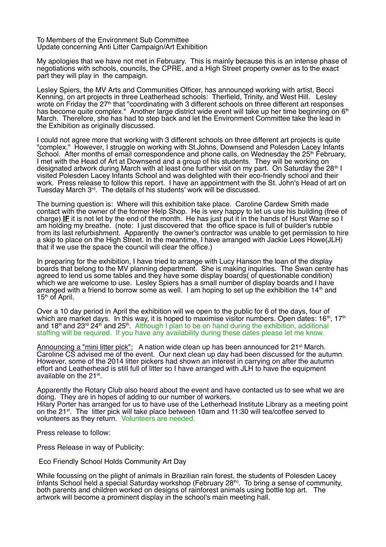To Members of the Environment Sub Committee Update concerning Anti Litter Campaign/Art Exhibition

My apologies that we have not met in February. This is mainly because this is an intense phase of negotiations with schools, councils, the CPRE, and a High Street property owner as to the exact part they will play in the campaign.

Lesley Spiers, the MV Arts and Communities Officer, has announced working with artist, Becci Kenning, on art projects in three Leatherhead schools: Therfield, Trinity, and West Hill. Lesley wrote on Friday the 27<sup>th</sup> that "coordinating with 3 different schools on three different art responses has become quite complex." Another large district wide event will take up her time beginning on 6<sup>th</sup> March. Therefore, she has had to step back and let the Environment Committee take the lead in the Exhibition as originally discussed.

I could not agree more that working with 3 different schools on three different art projects is quite "complex." However, I struggle on working with St.Johns, Downsend and Polesden Lacey Infants School. After months of email correspondence and phone calls, on Wednesday the 25<sup>th</sup> February, I met with the Head of Art at Downsend and a group of his students. They will be working on designated artwork during March with at least one further visit on my part. On Saturday the 28<sup>th</sup> I visited Polesden Lacey Infants School and was delighted with their eco-friendly school and their work. Press release to follow this report. I have an appointment with the St. John's Head of art on Tuesday March 3<sup>rd</sup>. The details of his students' work will be discussed.

The burning question is: Where will this exhibition take place. Caroline Cardew Smith made contact with the owner of the former Help Shop. He is very happy to let us use his building (free of charge) **IF** it is not let by the end of the month. He has just put it in the hands of Hurst Warne so I am holding my breathe. (note: I just discovered that the office space is full of builder's rubble from its last refurbishment. Apparently the owner's contractor was unable to get permission to hire a skip to place on the High Street. In the meantime, I have arranged with Jackie Lees Howe(JLH) that if we use the space the council will clear the office.)

In preparing for the exhibition, I have tried to arrange with Lucy Hanson the loan of the display boards that belong to the MV planning department. She is making inquiries. The Swan centre has agreed to lend us some tables and they have some display boards( of questionable condition) which we are welcome to use. Lesley Spiers has a small number of display boards and I have arranged with a friend to borrow some as well. I am hoping to set up the exhibition the  $14<sup>th</sup>$  and  $15<sup>th</sup>$  of April.

Over a 10 day period in April the exhibition will we open to the public for 6 of the days, four of which are market days. In this way, it is hoped to maximise visitor numbers. Open dates:  $16<sup>th</sup>$ ,  $17<sup>th</sup>$ and 18<sup>th</sup> and 23<sup>rd</sup> 24<sup>th</sup> and 25<sup>th</sup>. Although I plan to be on hand during the exhibition, additional staffing will be required. If you have any availability during these dates please let me know.

Announcing a "mini litter pick": A nation wide clean up has been announced for 21<sup>st</sup> March. Caroline CS advised me of the event. Our next clean up day had been discussed for the autumn. However, some of the 2014 litter pickers had shown an interest in carrying on after the autumn effort and Leatherhead is still full of litter so I have arranged with JLH to have the equipment available on the 21st.

Apparently the Rotary Club also heard about the event and have contacted us to see what we are doing. They are in hopes of adding to our number of workers. Hilary Porter has arranged for us to have use of the Letherhead Institute Library as a meeting point on the 21st. The litter pick will take place between 10am and 11:30 will tea/coffee served to volunteers as they return. Volunteers are needed.

Press release to follow:

Press Release in way of Publicity:

Eco Friendly School Holds Community Art Day

While focussing on the plight of animals in Brazilian rain forest, the students of Polesden Lacey Infants School held a special Saturday workshop (February  $28<sup>th</sup>$ ). To bring a sense of community, both parents and children worked on designs of rainforest animals using bottle top art. The artwork will become a prominent display in the school's main meeting hall.